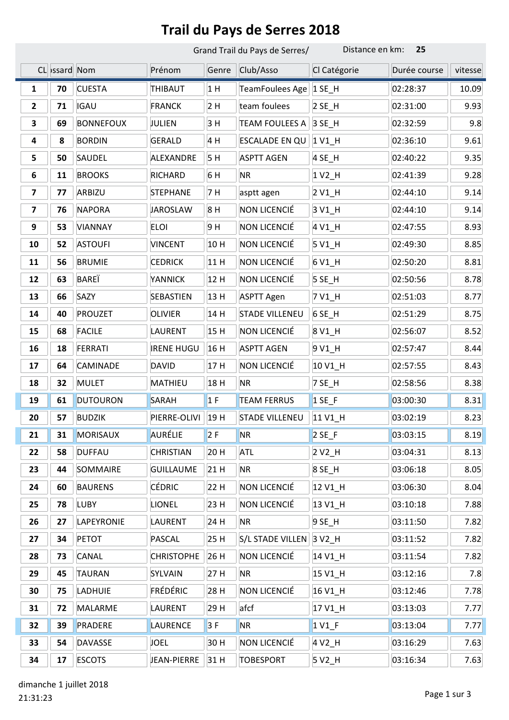## Trail du Pays de Serres 2018

|                         |               |                  | Grand Trail du Pays de Serres/ |       |                           | Distance en km:<br>25 |              |         |  |
|-------------------------|---------------|------------------|--------------------------------|-------|---------------------------|-----------------------|--------------|---------|--|
|                         | CL >ssard Nom |                  | Prénom                         | Genre | Club/Asso                 | Cl Catégorie          | Durée course | vitesse |  |
| 1                       | 70            | <b>CUESTA</b>    | THIBAUT                        | 1H    | TeamFoulees Age           | $1$ SE_H              | 02:28:37     | 10.09   |  |
| $\mathbf{2}$            | 71            | <b>IGAU</b>      | <b>FRANCK</b>                  | 2H    | team foulees              | $2$ SE_H              | 02:31:00     | 9.93    |  |
| 3                       | 69            | <b>BONNEFOUX</b> | JULIEN                         | 3 H   | <b>TEAM FOULEES A</b>     | 3 SE_H                | 02:32:59     | 9.8     |  |
| 4                       | 8             | <b>BORDIN</b>    | <b>GERALD</b>                  | 4 H   | ESCALADE EN QU            | 1 V1_H                | 02:36:10     | 9.61    |  |
| 5                       | 50            | SAUDEL           | ALEXANDRE                      | 5H    | <b>ASPTT AGEN</b>         | 4 SE_H                | 02:40:22     | 9.35    |  |
| 6                       | 11            | <b>BROOKS</b>    | <b>RICHARD</b>                 | 6 H   | <b>NR</b>                 | $1\,V2$ _H            | 02:41:39     | 9.28    |  |
| $\overline{\mathbf{z}}$ | 77            | ARBIZU           | <b>STEPHANE</b>                | 7 H   | asptt agen                | 2 V <sub>1_</sub> H   | 02:44:10     | 9.14    |  |
| 7                       | 76            | <b>NAPORA</b>    | <b>JAROSLAW</b>                | 8H    | NON LICENCIÉ              | 3 V1_H                | 02:44:10     | 9.14    |  |
| 9                       | 53            | VIANNAY          | <b>ELOI</b>                    | 9 H   | NON LICENCIÉ              | 4 V1_H                | 02:47:55     | 8.93    |  |
| 10                      | 52            | <b>ASTOUFI</b>   | <b>VINCENT</b>                 | 10 H  | NON LICENCIÉ              | $5V1$ <sup>H</sup>    | 02:49:30     | 8.85    |  |
| 11                      | 56            | <b>BRUMIE</b>    | <b>CEDRICK</b>                 | 11 H  | NON LICENCIÉ              | 6 V1_H                | 02:50:20     | 8.81    |  |
| 12                      | 63            | <b>BARE</b> Ï    | YANNICK                        | 12 H  | NON LICENCIÉ              | $5$ SE_H              | 02:50:56     | 8.78    |  |
| 13                      | 66            | SAZY             | SEBASTIEN                      | 13 H  | <b>ASPTT Agen</b>         | 7 V1_H                | 02:51:03     | 8.77    |  |
| 14                      | 40            | <b>PROUZET</b>   | <b>OLIVIER</b>                 | 14 H  | <b>STADE VILLENEU</b>     | 6 SE_H                | 02:51:29     | 8.75    |  |
| 15                      | 68            | <b>FACILE</b>    | <b>LAURENT</b>                 | 15 H  | NON LICENCIÉ              | 8 V1_H                | 02:56:07     | 8.52    |  |
| 16                      | 18            | <b>FERRATI</b>   | <b>IRENE HUGU</b>              | 16 H  | <b>ASPTT AGEN</b>         | 9 V1_H                | 02:57:47     | 8.44    |  |
| 17                      | 64            | <b>CAMINADE</b>  | <b>DAVID</b>                   | 17H   | NON LICENCIÉ              | 10 V1_H               | 02:57:55     | 8.43    |  |
| 18                      | 32            | <b>MULET</b>     | <b>MATHIEU</b>                 | 18 H  | <b>NR</b>                 | 7 SE_H                | 02:58:56     | 8.38    |  |
| 19                      | 61            | <b>DUTOURON</b>  | <b>SARAH</b>                   | 1F    | <b>TEAM FERRUS</b>        | $1$ SE_F              | 03:00:30     | 8.31    |  |
| 20                      | 57            | <b>BUDZIK</b>    | PIERRE-OLIVI                   | 19 H  | <b>STADE VILLENEU</b>     | 11 V1 H               | 03:02:19     | 8.23    |  |
| 21                      | 31            | <b>MORISAUX</b>  | <b>AURÉLIE</b>                 | 2F    | <b>NR</b>                 | $2$ SE_F              | 03:03:15     | 8.19    |  |
| 22                      | 58            | <b>DUFFAU</b>    | <b>CHRISTIAN</b>               | 20 H  | ATL                       | $2 V2_H$              | 03:04:31     | 8.13    |  |
| 23                      | 44            | SOMMAIRE         | <b>GUILLAUME</b>               | 21 H  | <b>NR</b>                 | 8 SE_H                | 03:06:18     | 8.05    |  |
| 24                      | 60            | <b>BAURENS</b>   | <b>CÉDRIC</b>                  | 22 H  | NON LICENCIÉ              | 12 V1_H               | 03:06:30     | 8.04    |  |
| 25                      | 78            | <b>LUBY</b>      | <b>LIONEL</b>                  | 23 H  | NON LICENCIÉ              | 13 V1_H               | 03:10:18     | 7.88    |  |
| 26                      | 27            | LAPEYRONIE       | LAURENT                        | 24 H  | <b>NR</b>                 | $9$ SE_H              | 03:11:50     | 7.82    |  |
| 27                      | 34            | <b>PETOT</b>     | PASCAL                         | 25 H  | S/L STADE VILLEN   3 V2_H |                       | 03:11:52     | 7.82    |  |
| 28                      | 73            | CANAL            | <b>CHRISTOPHE</b>              | 26 H  | NON LICENCIÉ              | 14 V1_H               | 03:11:54     | 7.82    |  |
| 29                      | 45            | <b>TAURAN</b>    | SYLVAIN                        | 27 H  | <b>NR</b>                 | 15 V1_H               | 03:12:16     | 7.8     |  |
| 30                      | 75            | LADHUIE          | FRÉDÉRIC                       | 28 H  | NON LICENCIÉ              | 16 V1_H               | 03:12:46     | 7.78    |  |
| 31                      | 72            | MALARME          | LAURENT                        | 29 H  | afcf                      | 17 V1_H               | 03:13:03     | 7.77    |  |
| 32                      | 39            | PRADERE          | LAURENCE                       | 3F    | <b>NR</b>                 | $1$ V1 F              | 03:13:04     | 7.77    |  |
| 33                      | 54            | <b>DAVASSE</b>   | <b>JOEL</b>                    | 30 H  | NON LICENCIÉ              | 4 V2_H                | 03:16:29     | 7.63    |  |
| 34                      | 17            | <b>ESCOTS</b>    | JEAN-PIERRE                    | 31 H  | <b>TOBESPORT</b>          | 5 V2_H                | 03:16:34     | 7.63    |  |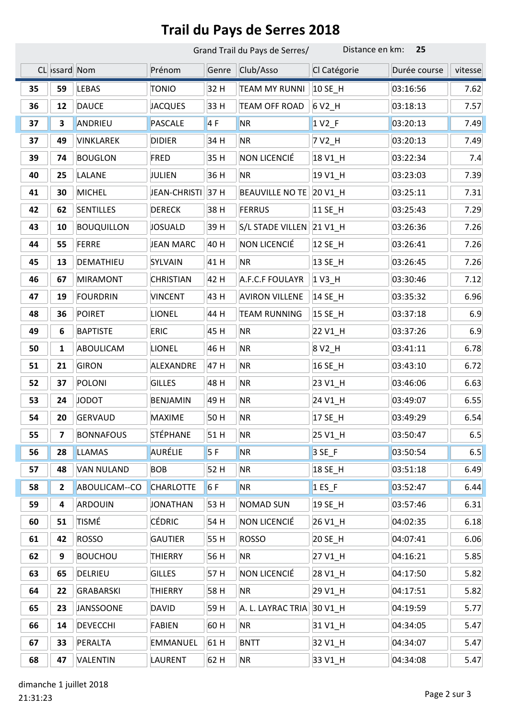## Trail du Pays de Serres 2018

|    |               |                   | Grand Trail du Pays de Serres/ | Distance en km:<br>25 |                        |                     |              |         |
|----|---------------|-------------------|--------------------------------|-----------------------|------------------------|---------------------|--------------|---------|
|    | CL >ssard Nom |                   | Prénom                         | Genre                 | Club/Asso              | Cl Catégorie        | Durée course | vitesse |
| 35 | 59            | LEBAS             | <b>TONIO</b>                   | 32 H                  | <b>TEAM MY RUNNI</b>   | 10 SE_H             | 03:16:56     | 7.62    |
| 36 | 12            | <b>DAUCE</b>      | <b>JACQUES</b>                 | 33 H                  | <b>TEAM OFF ROAD</b>   | 6 V2_H              | 03:18:13     | 7.57    |
| 37 | 3             | ANDRIEU           | <b>PASCALE</b>                 | 4F                    | <b>NR</b>              | $1 V2_F$            | 03:20:13     | 7.49    |
| 37 | 49            | VINKLAREK         | <b>DIDIER</b>                  | 34 H                  | <b>NR</b>              | 7 V2_H              | 03:20:13     | 7.49    |
| 39 | 74            | <b>BOUGLON</b>    | <b>FRED</b>                    | 35 H                  | NON LICENCIÉ           | 18 V1_H             | 03:22:34     | 7.4     |
| 40 | 25            | LALANE            | JULIEN                         | 36 H                  | <b>NR</b>              | 19 V1_H             | 03:23:03     | 7.39    |
| 41 | 30            | <b>MICHEL</b>     | JEAN-CHRISTI                   | 37 H                  | <b>BEAUVILLE NO TE</b> | 20 V1_H             | 03:25:11     | 7.31    |
| 42 | 62            | <b>SENTILLES</b>  | <b>DERECK</b>                  | 38 H                  | <b>FERRUS</b>          | 11 SE_H             | 03:25:43     | 7.29    |
| 43 | 10            | <b>BOUQUILLON</b> | <b>JOSUALD</b>                 | 39 H                  | S/L STADE VILLEN       | 21 V1_H             | 03:26:36     | 7.26    |
| 44 | 55            | <b>FERRE</b>      | <b>JEAN MARC</b>               | 40 H                  | NON LICENCIÉ           | 12 SE_H             | 03:26:41     | 7.26    |
| 45 | 13            | DEMATHIEU         | SYLVAIN                        | 41 H                  | <b>NR</b>              | 13 SE_H             | 03:26:45     | 7.26    |
| 46 | 67            | <b>MIRAMONT</b>   | <b>CHRISTIAN</b>               | 42 H                  | A.F.C.F FOULAYR        | $1V3$ _H            | 03:30:46     | 7.12    |
| 47 | 19            | <b>FOURDRIN</b>   | <b>VINCENT</b>                 | 43 H                  | <b>AVIRON VILLENE</b>  | 14 SE_H             | 03:35:32     | 6.96    |
| 48 | 36            | <b>POIRET</b>     | <b>LIONEL</b>                  | 44 H                  | <b>TEAM RUNNING</b>    | 15 SE_H             | 03:37:18     | 6.9     |
| 49 | 6             | <b>BAPTISTE</b>   | <b>ERIC</b>                    | 45 H                  | <b>NR</b>              | 22 V1_H             | 03:37:26     | 6.9     |
| 50 | 1             | ABOULICAM         | <b>LIONEL</b>                  | 46 H                  | <b>NR</b>              | 8 V <sub>2_</sub> H | 03:41:11     | 6.78    |
| 51 | 21            | <b>GIRON</b>      | ALEXANDRE                      | 47 H                  | <b>NR</b>              | 16 SE_H             | 03:43:10     | 6.72    |
| 52 | 37            | <b>POLONI</b>     | <b>GILLES</b>                  | 48 H                  | <b>NR</b>              | 23 V1_H             | 03:46:06     | 6.63    |
| 53 | 24            | <b>JODOT</b>      | <b>BENJAMIN</b>                | 49 H                  | <b>NR</b>              | 24 V1_H             | 03:49:07     | 6.55    |
| 54 | 20            | <b>GERVAUD</b>    | <b>MAXIME</b>                  | 50H                   | <b>NR</b>              | 17 SE_H             | 03:49:29     | 6.54    |
| 55 | 7             | <b>BONNAFOUS</b>  | STÉPHANE                       | 51 H                  | <b>NR</b>              | 25 V1_H             | 03:50:47     | 6.5     |
| 56 | 28            | <b>LLAMAS</b>     | AURÉLIE                        | 5F                    | <b>NR</b>              | $3SE$ F             | 03:50:54     | 6.5     |
| 57 | 48            | <b>VAN NULAND</b> | <b>BOB</b>                     | 52 H                  | <b>NR</b>              | 18 SE_H             | 03:51:18     | 6.49    |
| 58 | $\mathbf{2}$  | ABOULICAM--CO     | <b>CHARLOTTE</b>               | 6F                    | <b>NR</b>              | $1$ ES_F            | 03:52:47     | 6.44    |
| 59 | 4             | ARDOUIN           | <b>JONATHAN</b>                | 53 H                  | <b>NOMAD SUN</b>       | 19 SE_H             | 03:57:46     | 6.31    |
| 60 | 51            | <b>TISMÉ</b>      | CÉDRIC                         | 54 H                  | NON LICENCIÉ           | 26 V1 H             | 04:02:35     | 6.18    |
| 61 | 42            | <b>ROSSO</b>      | <b>GAUTIER</b>                 | 55 H                  | <b>ROSSO</b>           | 20 SE_H             | 04:07:41     | 6.06    |
| 62 | 9             | <b>BOUCHOU</b>    | <b>THIERRY</b>                 | 56 H                  | <b>NR</b>              | 27 V1_H             | 04:16:21     | $5.85$  |
| 63 | 65            | DELRIEU           | <b>GILLES</b>                  | 57H                   | NON LICENCIÉ           | 28 V1_H             | 04:17:50     | 5.82    |
| 64 | 22            | GRABARSKI         | <b>THIERRY</b>                 | 58 H                  | <b>NR</b>              | 29 V1_H             | 04:17:51     | 5.82    |
| 65 | 23            | <b>JANSSOONE</b>  | <b>DAVID</b>                   | 59 H                  | A. L. LAYRAC TRIA      | 30 V1_H             | 04:19:59     | 5.77    |
| 66 | 14            | <b>DEVECCHI</b>   | <b>FABIEN</b>                  | 60H                   | <b>NR</b>              | 31 V1_H             | 04:34:05     | 5.47    |
| 67 | 33            | PERALTA           | <b>EMMANUEL</b>                | 61 H                  | <b>BNTT</b>            | 32 V1_H             | 04:34:07     | 5.47    |
| 68 | 47            | <b>VALENTIN</b>   | <b>LAURENT</b>                 | 62 H                  | <b>NR</b>              | 33 V1_H             | 04:34:08     | 5.47    |